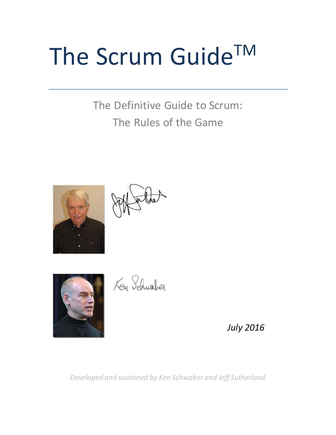# The Scrum Guide<sup>TM</sup>

The Definitive Guide to Scrum: The Rules of the Game







Key Schwaber

*July 2016*

*Developed and sustained by Ken Schwaber and Jeff Sutherland*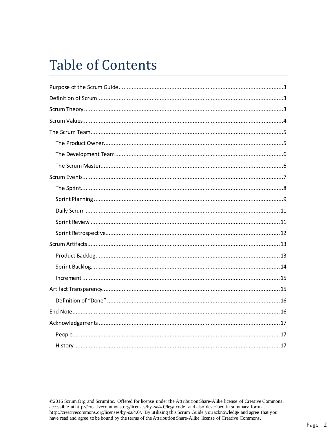# **Table of Contents**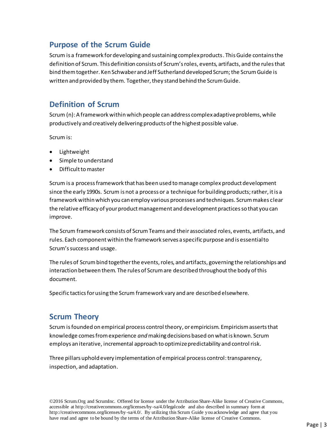# <span id="page-2-0"></span>**Purpose of the Scrum Guide**

Scrum is a framework for developing and sustaining complex products. This Guide contains the definition of Scrum. This definition consists of Scrum'sroles, events, artifacts, and the rules that bind them together. Ken Schwaber and Jeff Sutherland developed Scrum; the Scrum Guide is written and provided by them. Together, they stand behind the Scrum Guide.

# <span id="page-2-1"></span>**Definition of Scrum**

Scrum (n): A framework within which people can address complex adaptive problems, while productively and creatively delivering products of the highest possible value.

Scrum is:

- Lightweight
- Simple to understand
- Difficult to master

Scrum is a process framework that has been used to manage complex product development since the early 1990s. Scrum is not a process or a technique for building products; rather, it is a framework within which you can employ various processes and techniques. Scrum makes clear the relative efficacy of your product management and development practices so that you can improve.

The Scrum framework consists of Scrum Teams and their associated roles, events, artifacts, and rules. Each component within the framework serves a specific purpose and is essential to Scrum's success and usage.

The rules of Scrum bind together the events, roles, and artifacts, governing the relationships and interaction between them. The rules of Scrum are described throughout the body of this document.

Specific tactics for using the Scrum framework vary and are described elsewhere.

# <span id="page-2-2"></span>**Scrum Theory**

Scrum is founded on empirical process control theory, or empiricism. Empiricism asserts that knowledge comes from experience *and*making decisions based on what is known. Scrum employs an iterative, incremental approach to optimize predictability and control risk.

Three pillars uphold every implementation of empirical process control: transparency, inspection, and adaptation.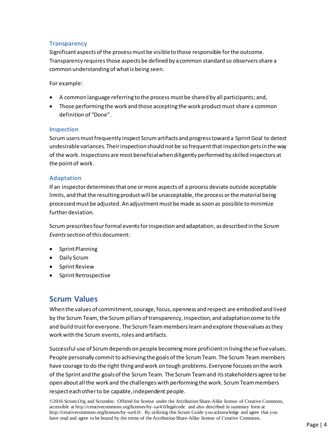#### **Transparency**

Significant aspects of the process must be visible to those responsible for the outcome. Transparency requires those aspects be defined by a common standard so observers share a common understanding of what is being seen.

For example:

- A common language referring to the process must be shared by all participants; and,
- Those performing the work and those accepting the work product must share a common definition of "Done".

#### **Inspection**

Scrum users must frequently inspect Scrum artifacts and progress toward a Sprint Goal to detect undesirablevariances. Their inspection should not be so frequent that inspection gets in the way of the work. Inspections are most beneficial when diligently performed by skilled inspectors at the point of work.

#### **Adaptation**

If an inspector determines that one or more aspects of a process deviate outside acceptable limits, and that the resulting product will be unacceptable, the process or the material being processedmust be adjusted. An adjustment must be made as soon as possible to minimize further deviation.

Scrum prescribes four formal events for inspection and adaptation, as described in the *Scrum Events*section of this document:

- Sprint Planning
- Daily Scrum
- **•** Sprint Review
- Sprint Retrospective

# <span id="page-3-0"></span>**Scrum Values**

When the values of commitment, courage, focus, openness and respect are embodied and lived by the Scrum Team, the Scrum pillars of transparency, inspection, and adaptation come to life and build trust for everyone. The Scrum Teammembers learn and explore those values as they work with the Scrum events, roles and artifacts.

Successful use of Scrumdepends on people becoming more proficient in living thesefive values. People personally commit to achieving the goals of the Scrum Team. The Scrum Team members have courage to do the right thing and work on tough problems. Everyone focuses on the work of the Sprint and the goals of the Scrum Team. The Scrum Team and its stakeholders agree to be open about all the work and the challenges with performing the work. Scrum Team members respect each other to be capable, independent people.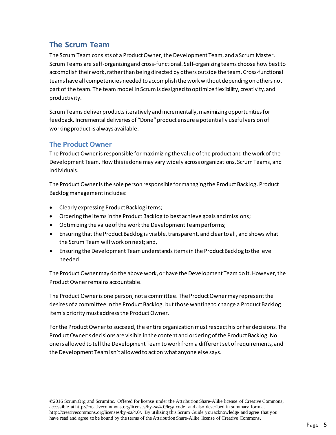# <span id="page-4-0"></span>**The Scrum Team**

The Scrum Team consists of a Product Owner, the Development Team, and a Scrum Master. Scrum Teams are self-organizing and cross-functional. Self-organizing teams choose how best to accomplish their work, rather than being directed by others outside the team. Cross-functional teams have all competencies needed to accomplish the work without depending on others not part of the team. The team model in Scrum is designed to optimize flexibility, creativity, and productivity.

Scrum Teams deliver productsiteratively and incrementally, maximizing opportunities for feedback. Incremental deliveries of "Done"product ensure a potentially useful version of working product is always available.

#### <span id="page-4-1"></span>**The Product Owner**

The Product Owner is responsible for maximizing the value of the product and the work of the Development Team.How this is done may vary widely across organizations, Scrum Teams, and individuals.

The Product Owner is the sole person responsible for managing the Product Backlog. Product Backlog management includes:

- Clearly expressing Product Backlog items;
- Ordering the items in the Product Backlog to best achieve goals and missions;
- Optimizing the value of the work the Development Team performs;
- Ensuring that the Product Backlog is visible, transparent, and clear to all, and shows what the Scrum Team will work on next; and,
- Ensuring the Development Team understands items in the Product Backlog to the level needed.

The Product Owner may do the above work, or have the Development Team do it. However, the Product Owner remains accountable.

The Product Owner is one person, not a committee. The Product Owner may represent the desires of a committee in the Product Backlog, but those wanting to change a Product Backlog item's priority must address the Product Owner.

For the Product Owner to succeed, the entire organization must respect his or her decisions. The Product Owner's decisions are visible in the content and ordering of the Product Backlog. No one is allowed to tell the Development Teamto work from a different set of requirements, and the Development Teamisn't allowed to act on what anyone else says.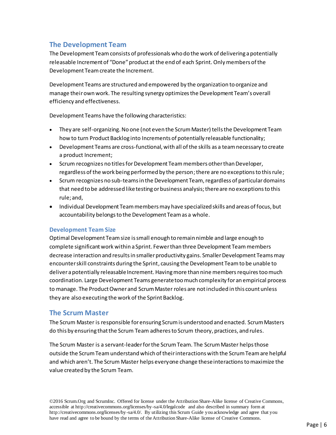# <span id="page-5-0"></span>**The Development Team**

The Development Team consists of professionals who do the work of delivering a potentially releasable Increment of "Done" product at the end of each Sprint. Only members of the Development Team create the Increment.

Development Teams are structured and empowered by the organization to organize and manage their own work. The resulting synergy optimizes the Development Team's overall efficiency and effectiveness.

Development Teams have the following characteristics:

- They are self-organizing. No one (not even the Scrum Master) tells the Development Team how to turn Product Backlog into Increments of potentially releasable functionality;
- Development Teams are cross-functional, with all of the skills as a teamnecessary to create a product Increment;
- Scrum recognizes no titles for Development Team members other than Developer, regardless of the work being performed by the person; there are no exceptions to this rule;
- Scrum recognizes no sub-teams in the Development Team, regardless of particular domains that need to be addressed like testing or business analysis; there are no exceptions to this rule; and,
- Individual Development Team members may have specialized skills and areas of focus, but accountability belongs to the Development Team as a whole.

#### **Development Team Size**

Optimal Development Team size is small enough to remain nimble and large enough to complete significant work within a Sprint. Fewer than three Development Team members decrease interaction and results in smaller productivity gains. Smaller Development Teams may encounter skill constraints during the Sprint, causing the Development Team to be unable to deliver a potentially releasable Increment. Having more than nine members requires too much coordination. Large Development Teams generate too much complexity for an empirical process to manage. The Product Owner and Scrum Master roles are not included in this count unless they are also executing the work of the Sprint Backlog.

#### <span id="page-5-1"></span>**The Scrum Master**

The Scrum Master is responsible for ensuring Scrum is understood and enacted. Scrum Masters do this by ensuring that the Scrum Team adheres to Scrum theory, practices, and rules.

The Scrum Master is a servant-leader for the Scrum Team. The Scrum Master helps those outside the Scrum Team understand which of their interactions with the Scrum Team are helpful and which aren't. The Scrum Master helps everyone change these interactions to maximize the value created by the Scrum Team.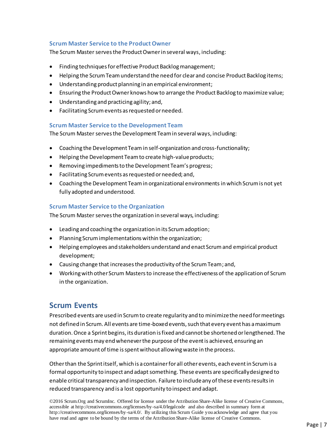#### **Scrum Master Service to the Product Owner**

The Scrum Master serves the Product Owner in several ways, including:

- Finding techniques for effective Product Backlog management;
- Helping the Scrum Team understand the need for clear and concise Product Backlog items;
- Understanding product planning in an empirical environment;
- Ensuring the Product Owner knows how to arrange the Product Backlog to maximize value;
- Understanding and practicing agility; and,
- Facilitating Scrum events as requested or needed.

#### **Scrum Master Service to the Development Team**

The Scrum Master serves the Development Team in several ways, including:

- Coaching the Development Team in self-organization and cross-functionality;
- Helping the Development Team to create high-value products;
- Removing impediments to the Development Team's progress;
- Facilitating Scrum events as requested or needed; and,
- Coaching the Development Team in organizational environments in which Scrum is not yet fully adopted and understood.

#### **Scrum Master Service to the Organization**

The Scrum Master serves the organization in several ways, including:

- Leading and coaching the organization in its Scrum adoption;
- Planning Scrum implementations within the organization;
- Helping employees and stakeholders understand and enact Scrum and empirical product development;
- Causing change that increases the productivity of the Scrum Team; and,
- Working with other Scrum Masters to increase the effectiveness of the application of Scrum in the organization.

# <span id="page-6-0"></span>**Scrum Events**

Prescribed events are used in Scrum to create regularity and to minimize the need for meetings not defined in Scrum. All events are time-boxed events, such that every event has a maximum duration. Once a Sprint begins, its duration is fixed and cannot be shortened or lengthened. The remaining events may end whenever the purpose of the event is achieved, ensuring an appropriate amount of time is spent without allowing waste in the process.

Other than the Sprint itself, which is a container for all other events, each event in Scrum is a formal opportunity to inspect and adapt something. These events are specifically designed to enable critical transparency and inspection. Failure to include any of these events results in reduced transparency and is a lost opportunity to inspect and adapt.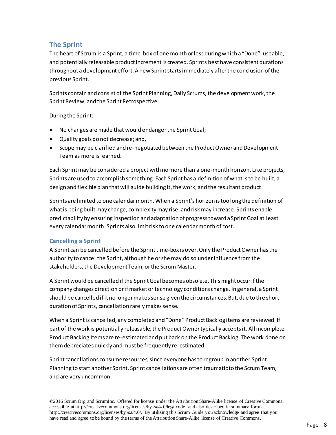# <span id="page-7-0"></span>**The Sprint**

The heart of Scrum is a Sprint, a time-box of one month or less during which a "Done", useable, and potentially releasable product Increment is created. Sprints best have consistent durations throughout a development effort. A new Sprint starts immediately after the conclusion of the previous Sprint.

Sprints contain and consist of the Sprint Planning, Daily Scrums, the development work, the Sprint Review, and the Sprint Retrospective.

During the Sprint:

- No changes are made that would endanger the Sprint Goal;
- Quality goals do not decrease; and,
- Scope may be clarified and re-negotiated between the Product Owner and Development Team as more is learned.

Each Sprint may be considered a project with no more than a one-month horizon. Like projects, Sprints are used to accomplish something. Each Sprint has a definition of what is to be built, a design and flexible plan that will guide building it, the work, and the resultant product.

Sprints are limited to one calendar month. When a Sprint's horizon is too long the definition of what is being built may change, complexity may rise, and risk may increase. Sprints enable predictability by ensuring inspection and adaptation of progress toward a Sprint Goal at least every calendar month. Sprints also limit risk to one calendar month of cost.

#### **Cancelling a Sprint**

A Sprint can be cancelled before the Sprint time-box is over. Only the Product Owner has the authority to cancel the Sprint, although he or she may do so under influence from the stakeholders, the Development Team, or the Scrum Master.

A Sprint would be cancelled if the Sprint Goal becomes obsolete. This might occur if the company changes direction or if market or technology conditions change. In general, a Sprint should be cancelled if it no longer makes sense given the circumstances. But, due to the short duration of Sprints, cancellation rarely makes sense.

When a Sprint is cancelled, any completed and "Done" Product Backlog items are reviewed. If part of the work is potentially releasable, the Product Owner typically accepts it. All incomplete Product Backlog Items are re-estimated and put back on the Product Backlog. The work done on them depreciates quickly and must be frequently re-estimated.

Sprint cancellations consume resources, since everyone has to regroup in another Sprint Planning to start another Sprint. Sprint cancellations are often traumatic to the Scrum Team, and are very uncommon.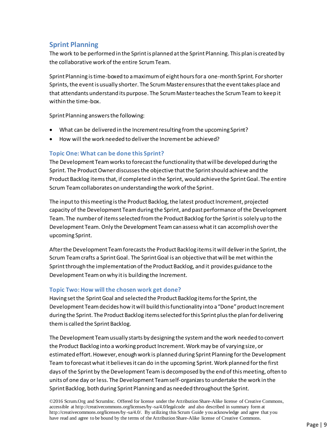# <span id="page-8-0"></span>**Sprint Planning**

The work to be performed in the Sprint is planned at the Sprint Planning. This plan is created by the collaborative work of the entire Scrum Team.

Sprint Planning is time-boxed to a maximum of eight hours for a one-month Sprint. For shorter Sprints, the event is usually shorter. The Scrum Master ensures that the event takes place and that attendants understand its purpose. The Scrum Master teaches the Scrum Team to keep it within the time-box.

Sprint Planning answersthe following:

- What can be delivered in the Increment resulting from the upcoming Sprint?
- How will the work needed to deliver the Increment be achieved?

#### **Topic One: What can be done this Sprint?**

The Development Team works to forecast the functionality that will be developed during the Sprint. The Product Owner discusses the objective that the Sprint should achieve and the Product Backlog items that, if completed in the Sprint, would achieve the Sprint Goal. The entire Scrum Team collaborates on understanding the work of the Sprint.

The input to this meeting is the Product Backlog, the latest product Increment, projected capacity of the Development Teamduring the Sprint, and past performance of the Development Team. The number of items selected from the Product Backlog for the Sprint is solely up to the Development Team. Only the Development Teamcan assess what it can accomplish over the upcoming Sprint.

After the Development Team forecasts the Product Backlog items it will deliver in the Sprint, the Scrum Team crafts a Sprint Goal. The Sprint Goal is an objective that will be met within the Sprint through the implementation of the Product Backlog, and it provides guidance to the Development Teamon why it is building the Increment.

#### **Topic Two: How will the chosen work get done?**

Having set the Sprint Goal and selected the Product Backlog items for the Sprint, the Development Team decides how it will build this functionality into a "Done" product Increment during the Sprint. The Product Backlog items selected for this Sprint plus the plan for delivering them is called the Sprint Backlog.

The Development Team usually starts by designing the system and the work needed to convert the Product Backlog into a working product Increment. Work may be of varying size, or estimated effort. However, enough work is planned during Sprint Planning for the Development Team to forecast what it believes it can do in the upcoming Sprint. Work planned for the first days of the Sprint by the Development Team is decomposed by the end of this meeting, often to units of one day or less. The Development Team self-organizes to undertake the work in the Sprint Backlog, both during Sprint Planning and as needed throughout the Sprint.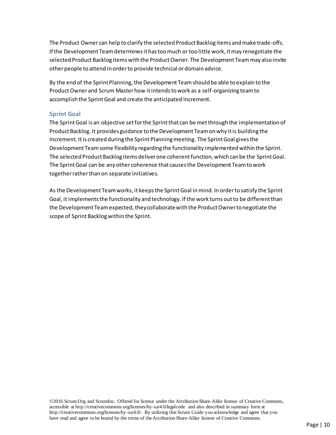The Product Owner can help to clarify the selected Product Backlog items and make trade-offs. If the Development Teamdetermines it has too much or too little work, it may renegotiate the selected Product Backlog items with the Product Owner. The Development Teammay also invite other people to attend in order to provide technical or domain advice.

By the end of the Sprint Planning, the Development Team should be able to explain to the Product Owner and Scrum Masterhow it intends to work as a self-organizing team to accomplish the Sprint Goal and create the anticipated Increment.

#### **Sprint Goal**

The Sprint Goal is an objective set forthe Sprint that can be met through the implementation of Product Backlog. It provides guidance to the Development Team on why it is building the Increment. It is created during the Sprint Planning meeting. The Sprint Goal gives the Development Team some flexibility regarding the functionality implemented within the Sprint. The selected Product Backlog items deliver one coherent function, which can be the Sprint Goal. The Sprint Goal can be any other coherence that causes the Development Team to work together rather than on separate initiatives.

As the Development Team works, it keeps the Sprint Goal in mind. In order to satisfy the Sprint Goal, it implements the functionality and technology. If the work turns out to be different than the Development Team expected, they collaborate with the Product Owner to negotiate the scope of Sprint Backlog within the Sprint.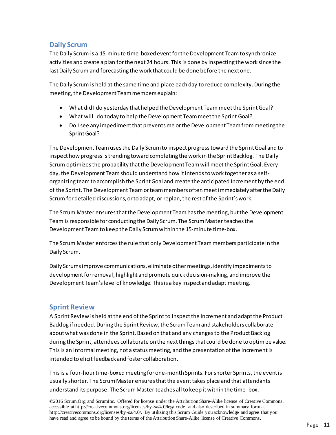# <span id="page-10-0"></span>**Daily Scrum**

The Daily Scrum is a 15-minute time-boxed eventfor the Development Team to synchronize activities and create a plan for the next 24 hours. This is done by inspecting the work since the last Daily Scrum and forecasting the work that could be done before the next one.

The Daily Scrum is held at the same time and place each day to reduce complexity. During the meeting, the Development Team members explain:

- What did I do yesterday that helped the Development Team meet the Sprint Goal?
- What will I do today to help the Development Team meet the Sprint Goal?
- Do I see any impediment that prevents me or the Development Team from meeting the Sprint Goal?

The Development Team uses the Daily Scrum to inspect progress toward the Sprint Goal and to inspect how progress is trending toward completing the work in the Sprint Backlog. The Daily Scrum optimizes the probability that the Development Teamwill meet the Sprint Goal. Every day, the Development Team should understand how it intends to work together as a selforganizing team to accomplish the Sprint Goal and create the anticipated Increment by the end of the Sprint. The Development Team or team members often meet immediately after the Daily Scrum for detailed discussions, or to adapt, or replan, the rest of the Sprint's work.

The Scrum Master ensures that the Development Team has the meeting, but the Development Team is responsible for conducting the Daily Scrum. The Scrum Master teaches the Development Team to keep the Daily Scrum within the 15-minute time-box.

The Scrum Master enforces the rule that only Development Team members participate in the Daily Scrum.

Daily Scrums improve communications, eliminate other meetings, identify impediments to development for removal, highlight and promote quick decision-making, and improve the Development Team's level of knowledge. This is a key inspect and adapt meeting.

# <span id="page-10-1"></span>**Sprint Review**

A Sprint Review is held at the end of the Sprint to inspect the Increment and adapt the Product Backlog if needed. During the Sprint Review, the Scrum Team and stakeholders collaborate about what was done in the Sprint. Based on that and any changes to the Product Backlog during the Sprint, attendees collaborate on the next things that could be done to optimize value. This is an informal meeting, not a status meeting, and the presentation of the Increment is intended to elicit feedback and foster collaboration.

This is a four-hour time-boxed meeting for one-month Sprints. For shorter Sprints, the event is usually shorter. The Scrum Master ensures that the event takes place and that attendants understand its purpose. The Scrum Master teaches all to keep it within the time -box.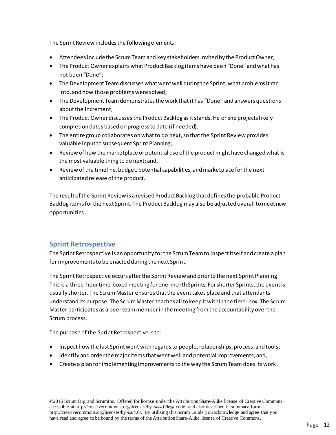The Sprint Review includes the following elements:

- Attendees include the Scrum Team and key stakeholders invited by the Product Owner;
- The Product Owner explains what Product Backlog items have been "Done" and what has not been "Done";
- The Development Team discusses what went well during the Sprint, what problems it ran into, and how those problems were solved;
- The Development Teamdemonstrates the work that it has "Done" and answers questions about the Increment;
- The Product Owner discusses the Product Backlog as it stands. He or she projects likely completion dates based on progress to date (if needed);
- The entire group collaborates on what to do next, so that the Sprint Review provides valuable input to subsequent Sprint Planning;
- Review of how the marketplace or potential use of the product might have changed what is the most valuable thing to do next; and,
- Review of the timeline, budget, potential capabilities, and marketplace forthe next anticipated release of the product.

The result of the Sprint Review is a revised Product Backlog that defines the probable Product Backlog items for the next Sprint. The Product Backlog may also be adjusted overall to meet new opportunities.

# <span id="page-11-0"></span>**Sprint Retrospective**

The Sprint Retrospective is an opportunity for the Scrum Team to inspect itself and create a plan for improvements to be enacted during the next Sprint.

The Sprint Retrospective occurs after the Sprint Review and prior to the next Sprint Planning. This is a three-hour time-boxed meeting for one-month Sprints. For shorter Sprints, the event is usually shorter. The Scrum Master ensures that the event takes place and that attendants understand its purpose. The Scrum Master teaches all to keep it within the time -box. The Scrum Master participates as a peer team member in the meeting from the accountability over the Scrum process.

The purpose of the Sprint Retrospective is to:

- Inspect how the last Sprint went with regards to people, relationships, process, and tools;
- Identify and orderthe major items that went well and potential improvements; and,
- Create a plan for implementing improvements to the way the Scrum Team does its work.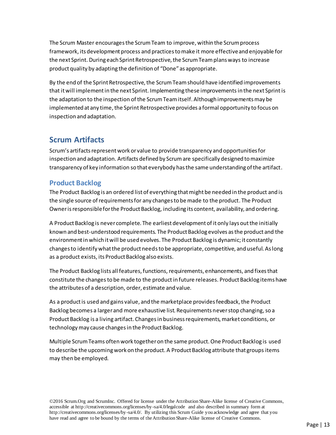The Scrum Master encourages the Scrum Team to improve, within the Scrum process framework, its development process and practices to make it more effective and enjoyable for the next Sprint. During each Sprint Retrospective, the Scrum Team plans ways to increase product quality by adapting the definition of "Done" as appropriate.

By the end of the Sprint Retrospective, the Scrum Team should have identified improvements that it will implement in the next Sprint. Implementing these improvements in the next Sprint is the adaptation to the inspection of the Scrum Team itself. Although improvements may be implemented at any time, the Sprint Retrospective provides a formal opportunity to focus on inspection and adaptation.

# <span id="page-12-0"></span>**Scrum Artifacts**

Scrum's artifacts represent work or value to provide transparency and opportunities for inspection and adaptation. Artifacts defined by Scrum are specifically designed to maximize transparency of key information so that everybody has the same understanding of the artifact.

# <span id="page-12-1"></span>**Product Backlog**

The Product Backlog is an ordered list of everything that might be needed in the product and is the single source of requirements for any changes to be made to the product. The Product Owner is responsible for the Product Backlog, including its content, availability, and ordering.

A Product Backlog is never complete. The earliest development of it only lays out the initially known and best-understood requirements. The Product Backlog evolves as the product and the environment in which it will be used evolves. The Product Backlog is dynamic; it constantly changes to identify what the product needs to be appropriate, competitive, and useful. As long as a product exists, its Product Backlog also exists.

The Product Backlog lists all features, functions, requirements, enhancements, and fixes that constitute the changes to be made to the product in future releases. Product Backlog items have the attributes of a description, order, estimate and value.

As a product is used and gains value, and the marketplace provides feedback, the Product Backlog becomes a larger and more exhaustive list. Requirements never stop changing, so a Product Backlog is a living artifact. Changes in business requirements, market conditions, or technology may cause changes in the Product Backlog.

Multiple Scrum Teams often work together on the same product. One Product Backlog is used to describe the upcoming work on the product. A Product Backlog attribute that groups items may then be employed.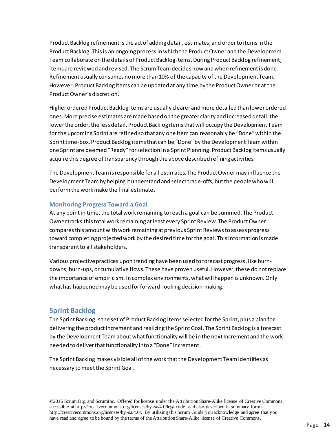Product Backlog refinement is the act of adding detail, estimates, and order to items in the Product Backlog. This is an ongoing process in which the Product Owner and the Development Team collaborate on the details of Product Backlog items. During Product Backlog refinement, items are reviewed and revised. The Scrum Team decides how and when refinement is done. Refinement usually consumes no more than 10% of the capacity of the Development Team. However, Product Backlog items can be updated at any time by the Product Owner or at the Product Owner's discretion.

Higher ordered Product Backlog items are usually clearer and more detailed than lower ordered ones. More precise estimates are made based on the greater clarity and increased detail; the lower the order, the less detail. Product Backlog items that will occupy the Development Team for the upcoming Sprint are refined so that any one item can reasonably be "Done" within the Sprint time-box. Product Backlog items that can be "Done" by the Development Team within one Sprint are deemed "Ready" for selection in a Sprint Planning. Product Backlog items usually acquire this degree of transparency through the above described refining activities.

The Development Teamis responsible for all estimates. The Product Owner may influence the Development Team by helping it understand and select trade-offs, but the people who will perform the work make the final estimate.

#### **Monitoring Progress Toward a Goal**

At any point in time, the total work remaining to reach a goal can be summed. The Product Owner tracks this total work remaining at least every Sprint Review. The Product Owner compares this amount with work remaining at previous Sprint Reviews to assess progress toward completing projected work by the desired time for the goal. This information is made transparent to all stakeholders.

Various projective practices upon trending have been used to forecast progress, like burndowns, burn-ups, or cumulative flows. These have proven useful. However, these do not replace the importance of empiricism. In complex environments, what will happen is unknown. Only what has happened may be used for forward-looking decision-making.

#### <span id="page-13-0"></span>**Sprint Backlog**

The Sprint Backlog isthe set of Product Backlog items selected for the Sprint, plus a plan for delivering the product Increment and realizing the Sprint Goal. The Sprint Backlog is a forecast by the Development Team about what functionality will be in the next Increment and the work needed to deliver that functionality into a "Done" Increment.

The Sprint Backlog makes visibleall of the work that the Development Teamidentifies as necessary to meet the Sprint Goal.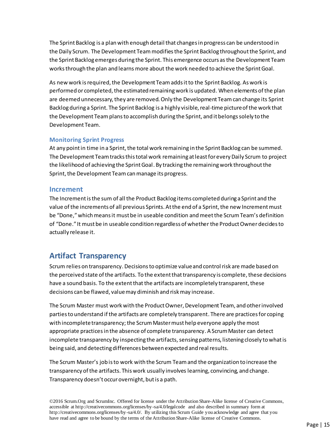The Sprint Backlog is a plan with enough detail that changes in progress can be understood in the Daily Scrum. The Development Teammodifies the Sprint Backlog throughout the Sprint, and the Sprint Backlog emerges during the Sprint. This emergence occurs asthe Development Team works through the plan and learns more about the work needed to achieve the Sprint Goal.

As new work is required, the Development Teamadds it to the Sprint Backlog. As work is performed or completed, the estimated remaining work is updated. When elements of the plan are deemed unnecessary, they are removed. Only the Development Teamcan change its Sprint Backlog during a Sprint. The Sprint Backlog is a highly visible, real-time picture of the work that the Development Teamplans to accomplish during the Sprint, and it belongs solely to the Development Team.

#### **Monitoring Sprint Progress**

At any point in time in a Sprint, the total work remaining in the Sprint Backlog can be summed. The Development Team tracks this total work remaining at least for every Daily Scrum to project the likelihood of achieving the Sprint Goal. By tracking the remaining work throughout the Sprint, the Development Teamcan manage its progress.

#### <span id="page-14-0"></span>**Increment**

The Increment is the sum of all the Product Backlog items completed during a Sprint and the value of the increments of all previous Sprints. At the end of a Sprint, the new Increment must be "Done,"which means it must be in useable condition and meet the Scrum Team's definition of "Done." It must be in useable condition regardless of whether the Product Owner decides to actually release it.

# <span id="page-14-1"></span>**Artifact Transparency**

Scrum relies on transparency. Decisionsto optimize value and control risk are made based on the perceived state of the artifacts. To the extent that transparency is complete, these decisions have a sound basis. To the extent that the artifacts are incompletely transparent, these decisions can be flawed, valuemay diminish and risk may increase.

The Scrum Master must work with the Product Owner, Development Team, and other involved parties to understand if the artifacts are completely transparent. There are practices for coping with incomplete transparency;the Scrum Master must help everyone apply the most appropriate practicesin the absence of complete transparency. A Scrum Master can detect incomplete transparency by inspecting the artifacts, sensing patterns, listening closely to what is being said, and detecting differences between expected and real results.

The Scrum Master's job is to work with the Scrum Team and the organization to increase the transparency of the artifacts. This work usually involves learning, convincing, and change. Transparency doesn't occur overnight, but is a path.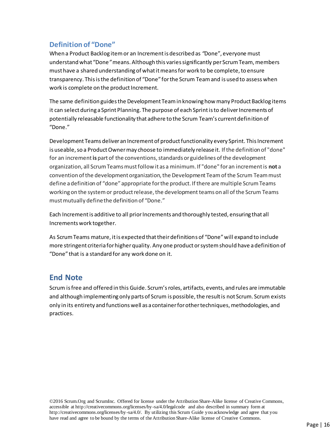# <span id="page-15-0"></span>**Definition of "Done"**

When a Product Backlog item or an Increment is described as *"*Done", everyone must understand what "Done*"*means. Although this varies significantly per Scrum Team, members must have a shared understanding of what it means for work to be complete, to ensure transparency. This is the definition of "Done" for the Scrum Team and is used to assess when work is complete on the product Increment.

The same definition guides the Development Team in knowing how many Product Backlog items it can select during a Sprint Planning. The purpose of each Sprint is to deliver Increments of potentially releasable functionality that adhere to the Scrum Team's current definition of "Done."

Development Teams deliver an Increment of product functionality every Sprint. This Increment is useable, so a Product Owner may choose to immediately release it. If the definition of "done" for an increment **is** part of the conventions, standards or guidelines of the development organization, all Scrum Teams must follow it as a minimum. If "done" for an increment is **not** a convention of the development organization, the Development Team of the Scrum Team must define a definition of "done" appropriate for the product. If there are multiple Scrum Teams working on the system or product release, the development teams on all of the Scrum Teams must mutually define the definition of "Done."

Each Increment is additive to all prior Increments and thoroughly tested, ensuring that all Increments work together.

As Scrum Teams mature, it is expected that their definitions of "Done" will expand to include more stringent criteria for higher quality. Any one product or system should have a definition of "Done" that is a standard for any work done on it.

# <span id="page-15-1"></span>**End Note**

Scrum is free and offered in this Guide. Scrum's roles, artifacts, events, and rules are immutable and although implementing only parts of Scrum is possible, the result is not Scrum. Scrum exists only in its entirety and functions well as a container for other techniques, methodologies, and practices.